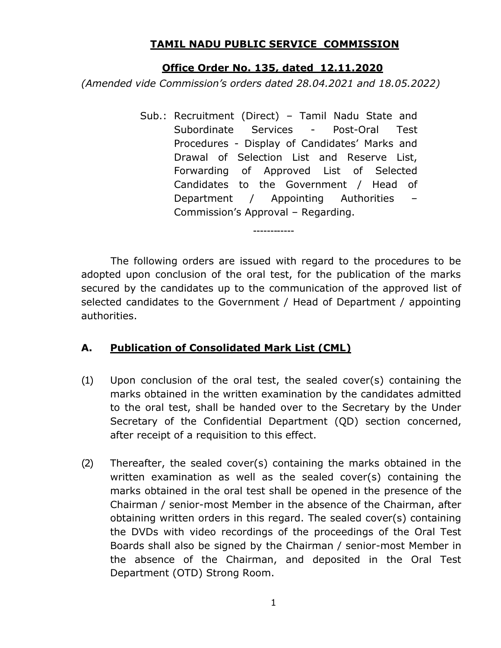## **TAMIL NADU PUBLIC SERVICE COMMISSION**

## **Office Order No. 135, dated 12.11.2020**

*(Amended vide Commission's orders dated 28.04.2021 and 18.05.2022)*

Sub.: Recruitment (Direct) – Tamil Nadu State and Subordinate Services - Post-Oral Test Procedures - Display of Candidates' Marks and Drawal of Selection List and Reserve List, Forwarding of Approved List of Selected Candidates to the Government / Head of Department / Appointing Authorities Commission's Approval – Regarding.

The following orders are issued with regard to the procedures to be adopted upon conclusion of the oral test, for the publication of the marks secured by the candidates up to the communication of the approved list of selected candidates to the Government / Head of Department / appointing authorities.

# **A. Publication of Consolidated Mark List (CML)**

- (1) Upon conclusion of the oral test, the sealed cover(s) containing the marks obtained in the written examination by the candidates admitted to the oral test, shall be handed over to the Secretary by the Under Secretary of the Confidential Department (QD) section concerned, after receipt of a requisition to this effect.
- (2) Thereafter, the sealed cover(s) containing the marks obtained in the written examination as well as the sealed cover(s) containing the marks obtained in the oral test shall be opened in the presence of the Chairman / senior-most Member in the absence of the Chairman, after obtaining written orders in this regard. The sealed cover(s) containing the DVDs with video recordings of the proceedings of the Oral Test Boards shall also be signed by the Chairman / senior-most Member in the absence of the Chairman, and deposited in the Oral Test Department (OTD) Strong Room.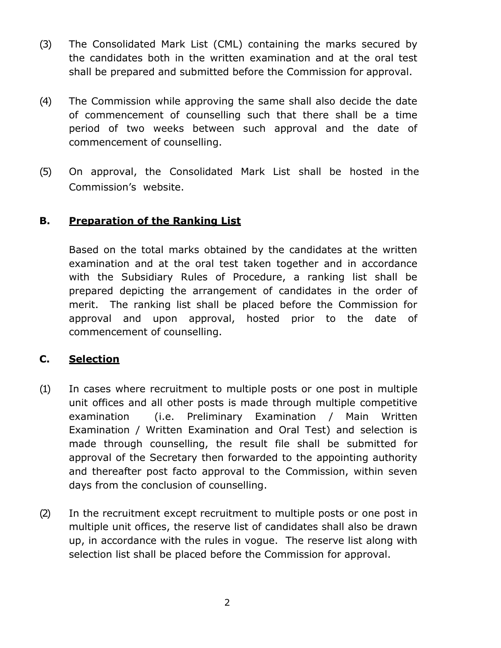- (3) The Consolidated Mark List (CML) containing the marks secured by the candidates both in the written examination and at the oral test shall be prepared and submitted before the Commission for approval.
- (4) The Commission while approving the same shall also decide the date of commencement of counselling such that there shall be a time period of two weeks between such approval and the date of commencement of counselling.
- (5) On approval, the Consolidated Mark List shall be hosted in the Commission's website.

## **B. Preparation of the Ranking List**

Based on the total marks obtained by the candidates at the written examination and at the oral test taken together and in accordance with the Subsidiary Rules of Procedure, a ranking list shall be prepared depicting the arrangement of candidates in the order of merit. The ranking list shall be placed before the Commission for approval and upon approval, hosted prior to the date of commencement of counselling.

#### **C. Selection**

- (1) In cases where recruitment to multiple posts or one post in multiple unit offices and all other posts is made through multiple competitive examination (i.e. Preliminary Examination / Main Written Examination / Written Examination and Oral Test) and selection is made through counselling, the result file shall be submitted for approval of the Secretary then forwarded to the appointing authority and thereafter post facto approval to the Commission, within seven days from the conclusion of counselling.
- (2) In the recruitment except recruitment to multiple posts or one post in multiple unit offices, the reserve list of candidates shall also be drawn up, in accordance with the rules in vogue. The reserve list along with selection list shall be placed before the Commission for approval.